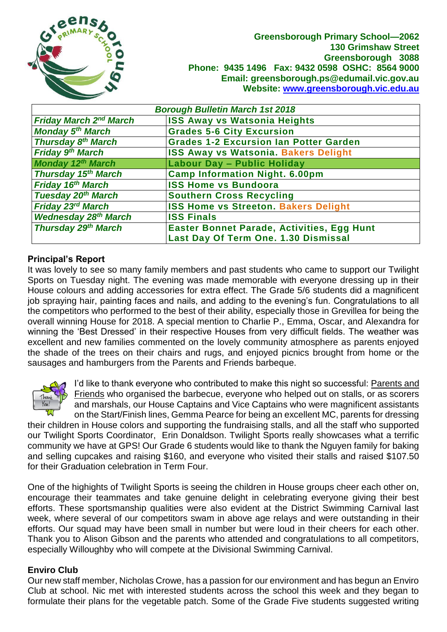

**Greensborough Primary School—2062 130 Grimshaw Street Greensborough 3088 Phone: 9435 1496 Fax: 9432 0598 OSHC: 8564 9000 Email: greensborough.ps@edumail.vic.gov.au Website: [www.greensborough.vic.edu.au](http://www.greensborough.vic.edu.au/)**

| <b>Borough Bulletin March 1st 2018</b> |                                               |  |  |
|----------------------------------------|-----------------------------------------------|--|--|
| <b>Friday March 2nd March</b>          | <b>ISS Away vs Watsonia Heights</b>           |  |  |
| <b>Monday 5th March</b>                | <b>Grades 5-6 City Excursion</b>              |  |  |
| Thursday 8 <sup>th</sup> March         | <b>Grades 1-2 Excursion Ian Potter Garden</b> |  |  |
| Friday 9th March                       | <b>ISS Away vs Watsonia. Bakers Delight</b>   |  |  |
| <b>Monday 12th March</b>               | Labour Day - Public Holiday                   |  |  |
| Thursday 15th March                    | <b>Camp Information Night. 6.00pm</b>         |  |  |
| <b>Friday 16th March</b>               | <b>ISS Home vs Bundoora</b>                   |  |  |
| <b>Tuesday 20th March</b>              | <b>Southern Cross Recycling</b>               |  |  |
| Friday 23rd March                      | <b>ISS Home vs Streeton. Bakers Delight</b>   |  |  |
| <b>Wednesday 28th March</b>            | <b>ISS Finals</b>                             |  |  |
| <b>Thursday 29th March</b>             | Easter Bonnet Parade, Activities, Egg Hunt    |  |  |
|                                        | Last Day Of Term One. 1.30 Dismissal          |  |  |

## **Principal's Report**

It was lovely to see so many family members and past students who came to support our Twilight Sports on Tuesday night. The evening was made memorable with everyone dressing up in their House colours and adding accessories for extra effect. The Grade 5/6 students did a magnificent job spraying hair, painting faces and nails, and adding to the evening's fun. Congratulations to all the competitors who performed to the best of their ability, especially those in Grevillea for being the overall winning House for 2018. A special mention to Charlie P., Emma, Oscar, and Alexandra for winning the 'Best Dressed' in their respective Houses from very difficult fields. The weather was excellent and new families commented on the lovely community atmosphere as parents enjoyed the shade of the trees on their chairs and rugs, and enjoyed picnics brought from home or the sausages and hamburgers from the Parents and Friends barbeque.



I'd like to thank everyone who contributed to make this night so successful: Parents and Friends who organised the barbecue, everyone who helped out on stalls, or as scorers and marshals, our House Captains and Vice Captains who were magnificent assistants on the Start/Finish lines, Gemma Pearce for being an excellent MC, parents for dressing

their children in House colors and supporting the fundraising stalls, and all the staff who supported our Twilight Sports Coordinator, Erin Donaldson. Twilight Sports really showcases what a terrific community we have at GPS! Our Grade 6 students would like to thank the Nguyen family for baking and selling cupcakes and raising \$160, and everyone who visited their stalls and raised \$107.50 for their Graduation celebration in Term Four.

One of the highights of Twilight Sports is seeing the children in House groups cheer each other on, encourage their teammates and take genuine delight in celebrating everyone giving their best efforts. These sportsmanship qualities were also evident at the District Swimming Carnival last week, where several of our competitors swam in above age relays and were outstanding in their efforts. Our squad may have been small in number but were loud in their cheers for each other. Thank you to Alison Gibson and the parents who attended and congratulations to all competitors, especially Willoughby who will compete at the Divisional Swimming Carnival.

#### **Enviro Club**

Our new staff member, Nicholas Crowe, has a passion for our environment and has begun an Enviro Club at school. Nic met with interested students across the school this week and they began to formulate their plans for the vegetable patch. Some of the Grade Five students suggested writing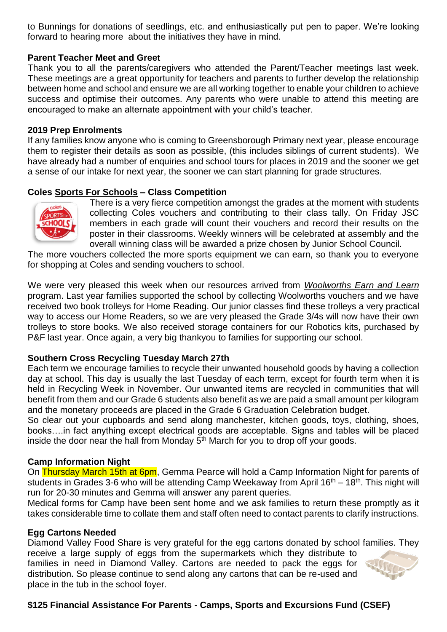to Bunnings for donations of seedlings, etc. and enthusiastically put pen to paper. We're looking forward to hearing more about the initiatives they have in mind.

#### **Parent Teacher Meet and Greet**

Thank you to all the parents/caregivers who attended the Parent/Teacher meetings last week. These meetings are a great opportunity for teachers and parents to further develop the relationship between home and school and ensure we are all working together to enable your children to achieve success and optimise their outcomes. Any parents who were unable to attend this meeting are encouraged to make an alternate appointment with your child's teacher.

#### **2019 Prep Enrolments**

If any families know anyone who is coming to Greensborough Primary next year, please encourage them to register their details as soon as possible, (this includes siblings of current students). We have already had a number of enquiries and school tours for places in 2019 and the sooner we get a sense of our intake for next year, the sooner we can start planning for grade structures.

## **Coles Sports For Schools – Class Competition**



There is a very fierce competition amongst the grades at the moment with students collecting Coles vouchers and contributing to their class tally. On Friday JSC members in each grade will count their vouchers and record their results on the poster in their classrooms. Weekly winners will be celebrated at assembly and the overall winning class will be awarded a prize chosen by Junior School Council.

The more vouchers collected the more sports equipment we can earn, so thank you to everyone for shopping at Coles and sending vouchers to school.

We were very pleased this week when our resources arrived from *Woolworths Earn and Learn* program. Last year families supported the school by collecting Woolworths vouchers and we have received two book trolleys for Home Reading. Our junior classes find these trolleys a very practical way to access our Home Readers, so we are very pleased the Grade 3/4s will now have their own trolleys to store books. We also received storage containers for our Robotics kits, purchased by P&F last year. Once again, a very big thankyou to families for supporting our school.

#### **Southern Cross Recycling Tuesday March 27th**

Each term we encourage families to recycle their unwanted household goods by having a collection day at school. This day is usually the last Tuesday of each term, except for fourth term when it is held in Recycling Week in November. Our unwanted items are recycled in communities that will benefit from them and our Grade 6 students also benefit as we are paid a small amount per kilogram and the monetary proceeds are placed in the Grade 6 Graduation Celebration budget.

So clear out your cupboards and send along manchester, kitchen goods, toys, clothing, shoes, books….in fact anything except electrical goods are acceptable. Signs and tables will be placed inside the door near the hall from Monday  $5<sup>th</sup>$  March for you to drop off your goods.

#### **Camp Information Night**

On Thursday March 15th at 6pm, Gemma Pearce will hold a Camp Information Night for parents of students in Grades 3-6 who will be attending Camp Weekaway from April  $16<sup>th</sup> - 18<sup>th</sup>$ . This night will run for 20-30 minutes and Gemma will answer any parent queries.

Medical forms for Camp have been sent home and we ask families to return these promptly as it takes considerable time to collate them and staff often need to contact parents to clarify instructions.

#### **Egg Cartons Needed**

Diamond Valley Food Share is very grateful for the egg cartons donated by school families. They

receive a large supply of eggs from the supermarkets which they distribute to families in need in Diamond Valley. Cartons are needed to pack the eggs for distribution. So please continue to send along any cartons that can be re-used and place in the tub in the school foyer.

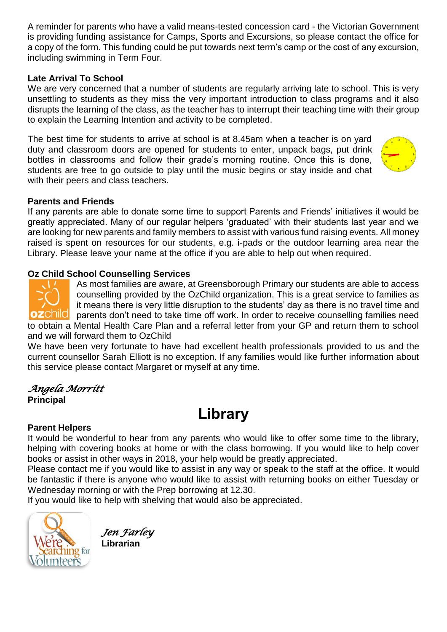A reminder for parents who have a valid means-tested concession card - the Victorian Government is providing funding assistance for Camps, Sports and Excursions, so please contact the office for a copy of the form. This funding could be put towards next term's camp or the cost of any excursion, including swimming in Term Four.

# **Late Arrival To School**

We are very concerned that a number of students are regularly arriving late to school. This is very unsettling to students as they miss the very important introduction to class programs and it also disrupts the learning of the class, as the teacher has to interrupt their teaching time with their group to explain the Learning Intention and activity to be completed.

The best time for students to arrive at school is at 8.45am when a teacher is on yard duty and classroom doors are opened for students to enter, unpack bags, put drink bottles in classrooms and follow their grade's morning routine. Once this is done, students are free to go outside to play until the music begins or stay inside and chat with their peers and class teachers.



## **Parents and Friends**

If any parents are able to donate some time to support Parents and Friends' initiatives it would be greatly appreciated. Many of our regular helpers 'graduated' with their students last year and we are looking for new parents and family members to assist with various fund raising events. All money raised is spent on resources for our students, e.g. i-pads or the outdoor learning area near the Library. Please leave your name at the office if you are able to help out when required.

# **Oz Child School Counselling Services**



As most families are aware, at Greensborough Primary our students are able to access counselling provided by the OzChild organization. This is a great service to families as it means there is very little disruption to the students' day as there is no travel time and parents don't need to take time off work. In order to receive counselling families need

to obtain a Mental Health Care Plan and a referral letter from your GP and return them to school and we will forward them to OzChild

We have been very fortunate to have had excellent health professionals provided to us and the current counsellor Sarah Elliott is no exception. If any families would like further information about this service please contact Margaret or myself at any time.

# *Angela Morritt*  **Principal**

# **Library**

# **Parent Helpers**

It would be wonderful to hear from any parents who would like to offer some time to the library, helping with covering books at home or with the class borrowing. If you would like to help cover books or assist in other ways in 2018, your help would be greatly appreciated.

Please contact me if you would like to assist in any way or speak to the staff at the office. It would be fantastic if there is anyone who would like to assist with returning books on either Tuesday or Wednesday morning or with the Prep borrowing at 12.30.

If you would like to help with shelving that would also be appreciated.

*Jen Farley*  **Librarian** 

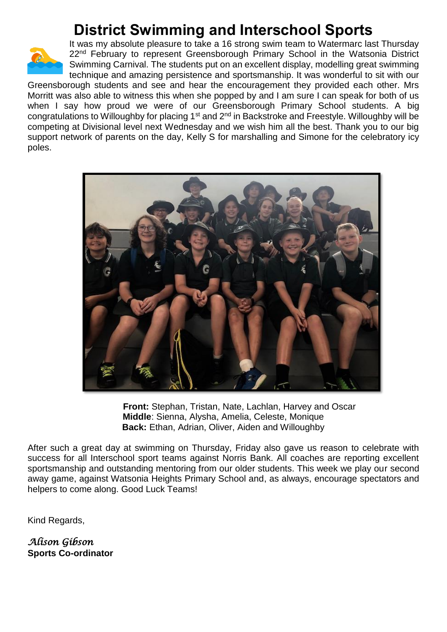# **District Swimming and Interschool Sports**



It was my absolute pleasure to take a 16 strong swim team to Watermarc last Thursday 22<sup>nd</sup> February to represent Greensborough Primary School in the Watsonia District Swimming Carnival. The students put on an excellent display, modelling great swimming technique and amazing persistence and sportsmanship. It was wonderful to sit with our Greensborough students and see and hear the encouragement they provided each other. Mrs Morritt was also able to witness this when she popped by and I am sure I can speak for both of us when I say how proud we were of our Greensborough Primary School students. A big

congratulations to Willoughby for placing 1<sup>st</sup> and 2<sup>nd</sup> in Backstroke and Freestyle. Willoughby will be competing at Divisional level next Wednesday and we wish him all the best. Thank you to our big support network of parents on the day, Kelly S for marshalling and Simone for the celebratory icy poles.



 **Front:** Stephan, Tristan, Nate, Lachlan, Harvey and Oscar **Middle**: Sienna, Alysha, Amelia, Celeste, Monique **Back:** Ethan, Adrian, Oliver, Aiden and Willoughby

After such a great day at swimming on Thursday, Friday also gave us reason to celebrate with success for all Interschool sport teams against Norris Bank. All coaches are reporting excellent sportsmanship and outstanding mentoring from our older students. This week we play our second away game, against Watsonia Heights Primary School and, as always, encourage spectators and helpers to come along. Good Luck Teams!

Kind Regards,

*Alison Gibson*  **Sports Co-ordinator**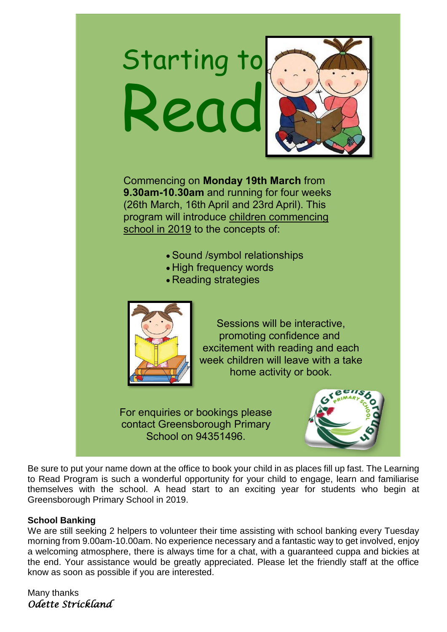# Starting to Read Commencing on **Monday 19th March** from

**9.30am-10.30am** and running for four weeks (26th March, 16th April and 23rd April). This program will introduce children commencing school in 2019 to the concepts of:

- Sound /symbol relationships
- High frequency words
- Reading strategies



Sessions will be interactive, promoting confidence and excitement with reading and each week children will leave with a take home activity or book.

For enquiries or bookings please contact Greensborough Primary School on 94351496.



Be sure to put your name down at the office to book your child in as places fill up fast. The Learning to Read Program is such a wonderful opportunity for your child to engage, learn and familiarise themselves with the school. A head start to an exciting year for students who begin at Greensborough Primary School in 2019.

# **School Banking**

We are still seeking 2 helpers to volunteer their time assisting with school banking every Tuesday morning from 9.00am-10.00am. No experience necessary and a fantastic way to get involved, enjoy a welcoming atmosphere, there is always time for a chat, with a guaranteed cuppa and bickies at the end. Your assistance would be greatly appreciated. Please let the friendly staff at the office know as soon as possible if you are interested.

Many thanks *Odette Strickland*